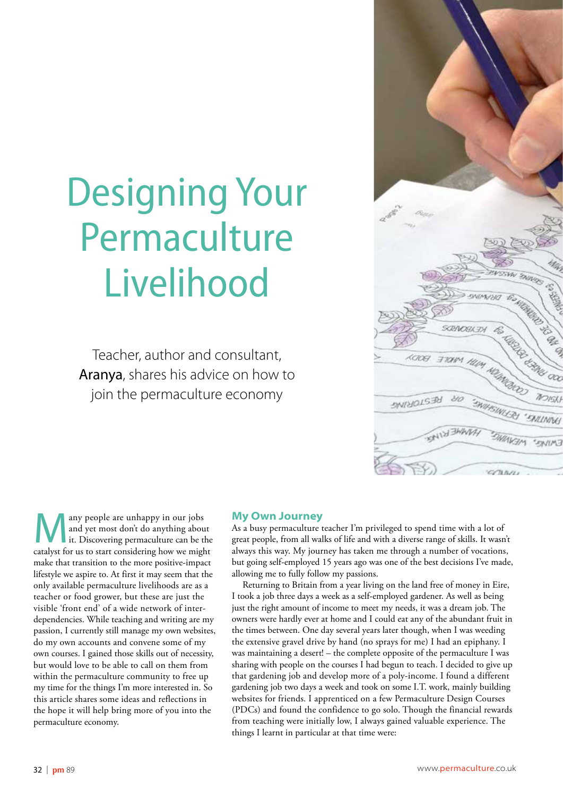# Designing Your Permaculture Livelihood

Teacher, author and consultant, Aranya, shares his advice on how to join the permaculture economy



any people are unhappy in our jobs<br>
and yet most don't do anything about<br>
it. Discovering permaculture can be the<br>
catalyst for us to start considering how we might and yet most don't do anything about catalyst for us to start considering how we might make that transition to the more positive-impact lifestyle we aspire to. At first it may seem that the only available permaculture livelihoods are as a teacher or food grower, but these are just the visible 'front end' of a wide network of interdependencies. While teaching and writing are my passion, I currently still manage my own websites, do my own accounts and convene some of my own courses. I gained those skills out of necessity, but would love to be able to call on them from within the permaculture community to free up my time for the things I'm more interested in. So this article shares some ideas and reflections in the hope it will help bring more of you into the permaculture economy.

#### **My Own Journey**

As a busy permaculture teacher I'm privileged to spend time with a lot of great people, from all walks of life and with a diverse range of skills. It wasn't always this way. My journey has taken me through a number of vocations, but going self-employed 15 years ago was one of the best decisions I've made, allowing me to fully follow my passions.

Returning to Britain from a year living on the land free of money in Eire, I took a job three days a week as a self-employed gardener. As well as being just the right amount of income to meet my needs, it was a dream job. The owners were hardly ever at home and I could eat any of the abundant fruit in the times between. One day several years later though, when I was weeding the extensive gravel drive by hand (no sprays for me) I had an epiphany. I was maintaining a desert! – the complete opposite of the permaculture I was sharing with people on the courses I had begun to teach. I decided to give up that gardening job and develop more of a poly-income. I found a different gardening job two days a week and took on some I.T. work, mainly building websites for friends. I apprenticed on a few Permaculture Design Courses (PDCs) and found the confidence to go solo. Though the financial rewards from teaching were initially low, I always gained valuable experience. The things I learnt in particular at that time were: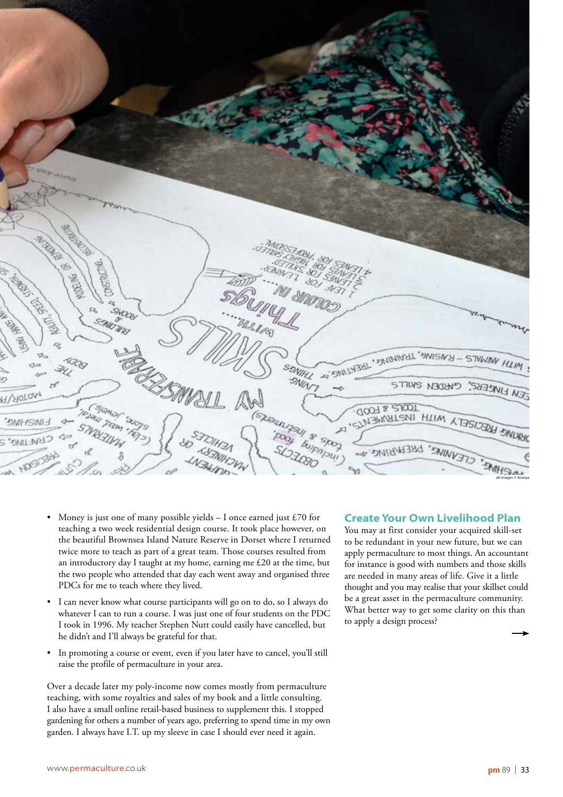

- Money is just one of many possible yields  $-$  I once earned just £70 for teaching a two week residential design course. It took place however, on the beautiful Brownsea Island Nature Reserve in Dorset where I returned twice more to teach as part of a great team. Those courses resulted from an introductory day I taught at my home, earning me £20 at the time, but the two people who attended that day each went away and organised three PDCs for me to teach where they lived.
- I can never know what course participants will go on to do, so I always do whatever I can to run a course. I was just one of four students on the PDC I took in 1996. My teacher Stephen Nutt could easily have cancelled, but he didn't and I'll always be grateful for that.
- In promoting a course or event, even if you later have to cancel, you'll still raise the profile of permaculture in your area.

Over a decade later my poly-income now comes mostly from permaculture teaching, with some royalties and sales of my book and a little consulting. I also have a small online retail-based business to supplement this. I stopped gardening for others a number of years ago, preferring to spend time in my own garden. I always have I.T. up my sleeve in case I should ever need it again.

#### **Create Your Own Livelihood Plan**

You may at first consider your acquired skill-set to be redundant in your new future, but we can apply permaculture to most things. An accountant for instance is good with numbers and those skills are needed in many areas of life. Give it a little thought and you may realise that your skillset could be a great asset in the permaculture community. What better way to get some clarity on this than to apply a design process?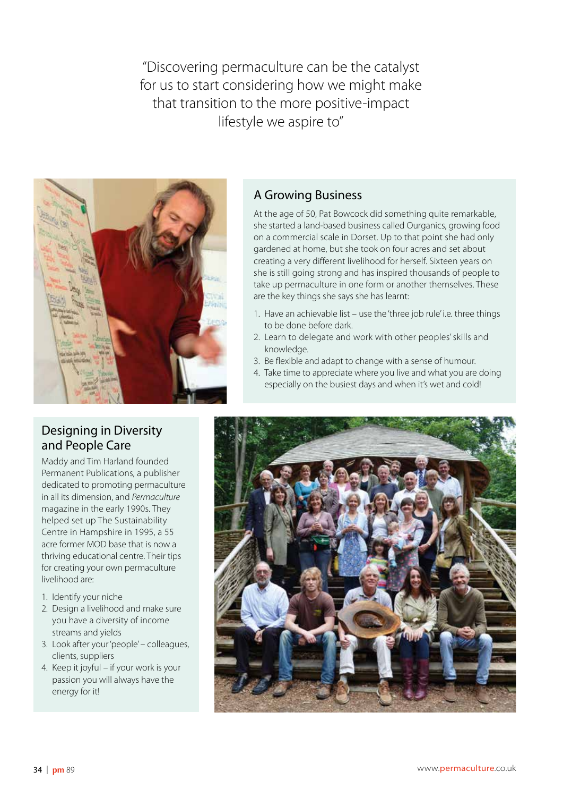"Discovering permaculture can be the catalyst for us to start considering how we might make that transition to the more positive-impact lifestyle we aspire to"



# A Growing Business

At the age of 50, Pat Bowcock did something quite remarkable, she started a land-based business called Ourganics, growing food on a commercial scale in Dorset. Up to that point she had only gardened at home, but she took on four acres and set about creating a very different livelihood for herself. Sixteen years on she is still going strong and has inspired thousands of people to take up permaculture in one form or another themselves. These are the key things she says she has learnt:

- 1. Have an achievable list use the 'three job rule' i.e. three things to be done before dark.
- 2. Learn to delegate and work with other peoples' skills and knowledge.
- 3. Be flexible and adapt to change with a sense of humour.
- 4. Take time to appreciate where you live and what you are doing especially on the busiest days and when it's wet and cold!

# Designing in Diversity and People Care

Maddy and Tim Harland founded Permanent Publications, a publisher dedicated to promoting permaculture in all its dimension, and *Permaculture* magazine in the early 1990s. They helped set up The Sustainability Centre in Hampshire in 1995, a 55 acre former MOD base that is now a thriving educational centre. Their tips for creating your own permaculture livelihood are:

- 1. Identify your niche
- 2. Design a livelihood and make sure you have a diversity of income streams and yields
- 3. Look after your 'people' colleagues, clients, suppliers
- 4. Keep it joyful if your work is your passion you will always have the energy for it!

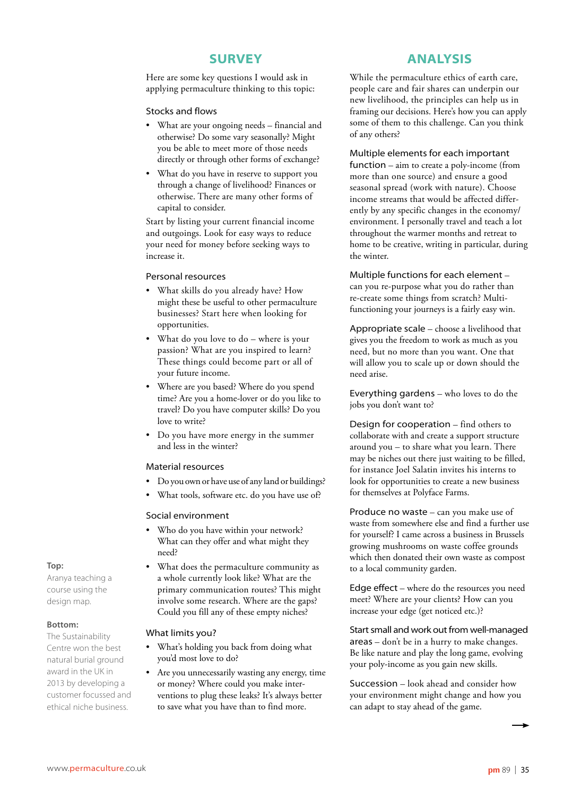# **SURVEY**

Here are some key questions I would ask in applying permaculture thinking to this topic:

#### Stocks and flows

- What are your ongoing needs financial and otherwise? Do some vary seasonally? Might you be able to meet more of those needs directly or through other forms of exchange?
- What do you have in reserve to support you through a change of livelihood? Finances or otherwise. There are many other forms of capital to consider.

Start by listing your current financial income and outgoings. Look for easy ways to reduce your need for money before seeking ways to increase it.

#### Personal resources

- What skills do you already have? How might these be useful to other permaculture businesses? Start here when looking for opportunities.
- What do you love to  $do$  where is your passion? What are you inspired to learn? These things could become part or all of your future income.
- Where are you based? Where do you spend time? Are you a home-lover or do you like to travel? Do you have computer skills? Do you love to write?
- Do you have more energy in the summer and less in the winter?

#### Material resources

- Do you own or have use of any land or buildings?
- What tools, software etc. do you have use of?

#### Social environment

- Who do you have within your network? What can they offer and what might they need?
- What does the permaculture community as a whole currently look like? What are the primary communication routes? This might involve some research. Where are the gaps? Could you fill any of these empty niches?

#### What limits you?

- What's holding you back from doing what you'd most love to do?
- Are you unnecessarily wasting any energy, time or money? Where could you make interventions to plug these leaks? It's always better to save what you have than to find more.

# **ANALYSIS**

While the permaculture ethics of earth care, people care and fair shares can underpin our new livelihood, the principles can help us in framing our decisions. Here's how you can apply some of them to this challenge. Can you think of any others?

#### Multiple elements for each important

function – aim to create a poly-income (from more than one source) and ensure a good seasonal spread (work with nature). Choose income streams that would be affected differently by any specific changes in the economy/ environment. I personally travel and teach a lot throughout the warmer months and retreat to home to be creative, writing in particular, during the winter.

Multiple functions for each element –

can you re-purpose what you do rather than re-create some things from scratch? Multifunctioning your journeys is a fairly easy win.

Appropriate scale – choose a livelihood that gives you the freedom to work as much as you need, but no more than you want. One that will allow you to scale up or down should the need arise.

Everything gardens – who loves to do the jobs you don't want to?

Design for cooperation – find others to collaborate with and create a support structure around you – to share what you learn. There may be niches out there just waiting to be filled, for instance Joel Salatin invites his interns to look for opportunities to create a new business for themselves at Polyface Farms.

Produce no waste – can you make use of waste from somewhere else and find a further use for yourself? I came across a business in Brussels growing mushrooms on waste coffee grounds which then donated their own waste as compost to a local community garden.

Edge effect – where do the resources you need meet? Where are your clients? How can you increase your edge (get noticed etc.)?

Start small and work out from well-managed areas – don't be in a hurry to make changes. Be like nature and play the long game, evolving your poly-income as you gain new skills.

Succession – look ahead and consider how your environment might change and how you can adapt to stay ahead of the game.

#### **Top:**

Aranya teaching a course using the design map.

#### **Bottom:**

The Sustainability Centre won the best natural burial ground award in the UK in 2013 by developing a customer focussed and ethical niche business.